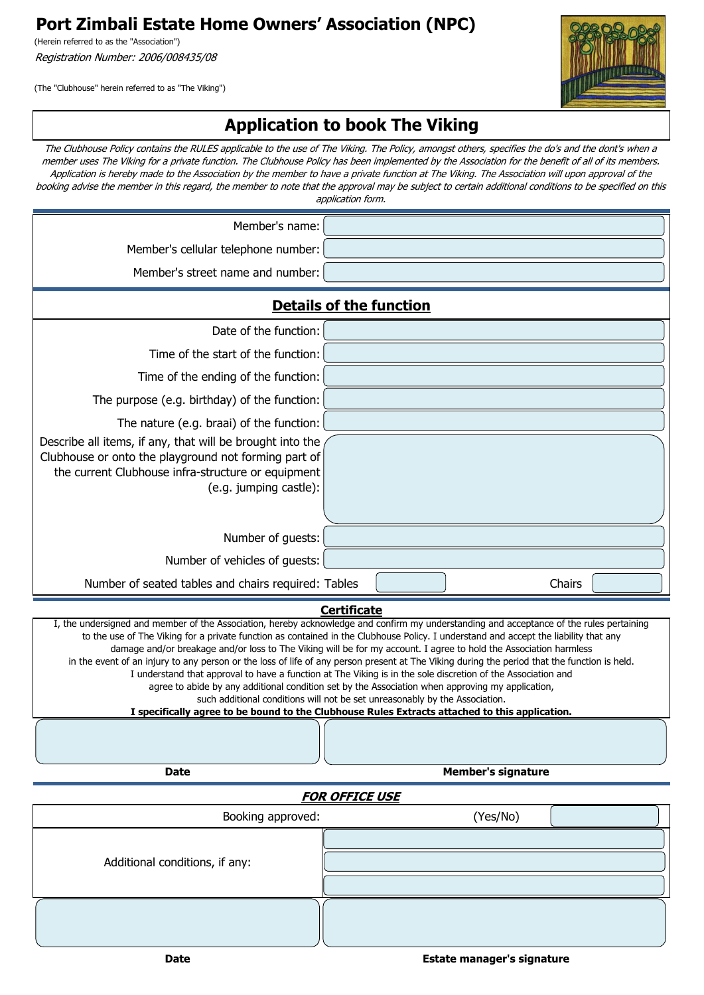**Port Zimbali Estate Home Owners' Association (NPC)**

(Herein referred to as the "Association") Registration Number: 2006/008435/08

(The "Clubhouse" herein referred to as "The Viking")



## **Application to book The Viking**

The Clubhouse Policy contains the RULES applicable to the use of The Viking. The Policy, amongst others, specifies the do's and the dont's when a member uses The Viking for a private function. The Clubhouse Policy has been implemented by the Association for the benefit of all of its members. Application is hereby made to the Association by the member to have a private function at The Viking. The Association will upon approval of the booking advise the member in this regard, the member to note that the approval may be subject to certain additional conditions to be specified on this application form.

| Member's cellular telephone number:<br>Member's street name and number:<br><b>Details of the function</b><br>Date of the function:<br>Time of the start of the function:<br>Time of the ending of the function:<br>The purpose (e.g. birthday) of the function:<br>The nature (e.g. braai) of the function:<br>Describe all items, if any, that will be brought into the<br>Clubhouse or onto the playground not forming part of<br>the current Clubhouse infra-structure or equipment<br>(e.g. jumping castle):<br>Number of guests: | Member's name: |  |  |
|---------------------------------------------------------------------------------------------------------------------------------------------------------------------------------------------------------------------------------------------------------------------------------------------------------------------------------------------------------------------------------------------------------------------------------------------------------------------------------------------------------------------------------------|----------------|--|--|
|                                                                                                                                                                                                                                                                                                                                                                                                                                                                                                                                       |                |  |  |
|                                                                                                                                                                                                                                                                                                                                                                                                                                                                                                                                       |                |  |  |
|                                                                                                                                                                                                                                                                                                                                                                                                                                                                                                                                       |                |  |  |
|                                                                                                                                                                                                                                                                                                                                                                                                                                                                                                                                       |                |  |  |
|                                                                                                                                                                                                                                                                                                                                                                                                                                                                                                                                       |                |  |  |
|                                                                                                                                                                                                                                                                                                                                                                                                                                                                                                                                       |                |  |  |
|                                                                                                                                                                                                                                                                                                                                                                                                                                                                                                                                       |                |  |  |
|                                                                                                                                                                                                                                                                                                                                                                                                                                                                                                                                       |                |  |  |
|                                                                                                                                                                                                                                                                                                                                                                                                                                                                                                                                       |                |  |  |
|                                                                                                                                                                                                                                                                                                                                                                                                                                                                                                                                       |                |  |  |
| Number of vehicles of guests:                                                                                                                                                                                                                                                                                                                                                                                                                                                                                                         |                |  |  |
| Chairs<br>Number of seated tables and chairs required: Tables                                                                                                                                                                                                                                                                                                                                                                                                                                                                         |                |  |  |

**Certificate**

I, the undersigned and member of the Association, hereby acknowledge and confirm my understanding and acceptance of the rules pertaining to the use of The Viking for a private function as contained in the Clubhouse Policy. I understand and accept the liability that any damage and/or breakage and/or loss to The Viking will be for my account. I agree to hold the Association harmless in the event of an injury to any person or the loss of life of any person present at The Viking during the period that the function is held. I understand that approval to have a function at The Viking is in the sole discretion of the Association and agree to abide by any additional condition set by the Association when approving my application, such additional conditions will not be set unreasonably by the Association. **I specifically agree to be bound to the Clubhouse Rules Extracts attached to this application.**

**Date Member's signature Member's signature** 

## **FOR OFFICE USE**

| Booking approved:              | (Yes/No) |
|--------------------------------|----------|
| Additional conditions, if any: |          |
|                                |          |